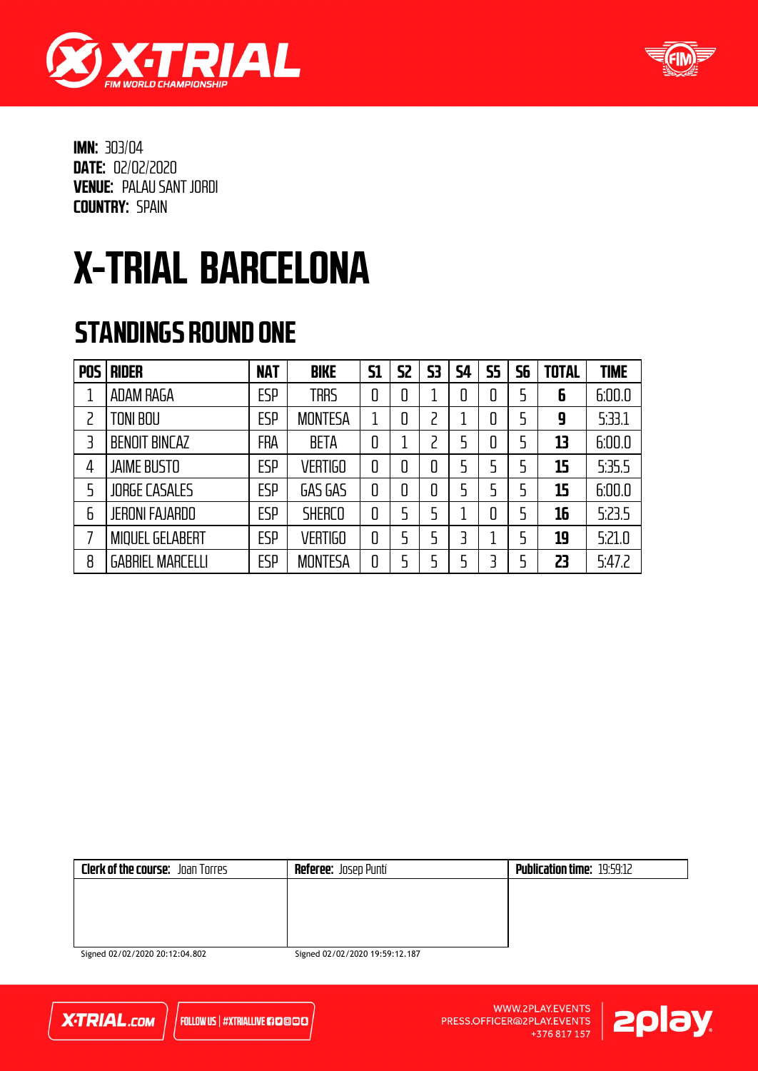



# X-TRIAL BARCELONA

### STANDINGS ROUND ONE

| <b>POS</b> | <b>RIDER</b>            | <b>NAT</b> | <b>BIKE</b>    | <b>S1</b> | <b>S2</b> | 53 | <b>S4</b> | <b>S5</b> | S6 | <b>TOTAL</b> | <b>TIME</b> |
|------------|-------------------------|------------|----------------|-----------|-----------|----|-----------|-----------|----|--------------|-------------|
|            | <b>ADAM RAGA</b>        | ESP        | <b>TRRS</b>    | 0         | 0         |    | 0         | 0         | 5  | 6            | 6:00.0      |
|            | <b>TONI BOU</b>         | ESP        | <b>MONTESA</b> |           | 0         | 2  |           | 0         | 5  | 9            | 5:33.1      |
|            | <b>BENOIT BINCAZ</b>    | FRA        | <b>BETA</b>    | 0         |           | 2  | 5         | 0         | 5  | 13           | 6:00.0      |
| 4          | <b>JAIME BUSTO</b>      | ESP        | <b>VERTIGO</b> | 0         | 0         | 0  | 5         | 5         | 5  | 15           | 5:35.5      |
| 5          | <b>JORGE CASALES</b>    | ESP        | GAS GAS        | 0         | 0         | 0  | 5         | 5         | 5  | 15           | 6:00.0      |
| 6          | <b>JERONI FAJARDO</b>   | ESP        | <b>SHERCO</b>  | 0         | 5         | 5  |           | 0         | 5  | 16           | 5:23.5      |
|            | <b>MIQUEL GELABERT</b>  | ESP        | <b>VERTIGO</b> | 0         | 5         | 5  | 3         |           | 5  | 19           | 5:21.0      |
| 8          | <b>GABRIEL MARCELLI</b> | ESP        | <b>MONTESA</b> | 0         | 5         | 5  | 5         |           | 5  | 23           | 5:47.2      |

| <b>Clerk of the course:</b> Joan Torres | <b>Referee:</b> Josep Puntí | <b>Publication time: 19:59:12</b> |
|-----------------------------------------|-----------------------------|-----------------------------------|
|                                         |                             |                                   |
|                                         |                             |                                   |
|                                         |                             |                                   |
|                                         |                             |                                   |

Signed 02/02/2020 20:12:04.802



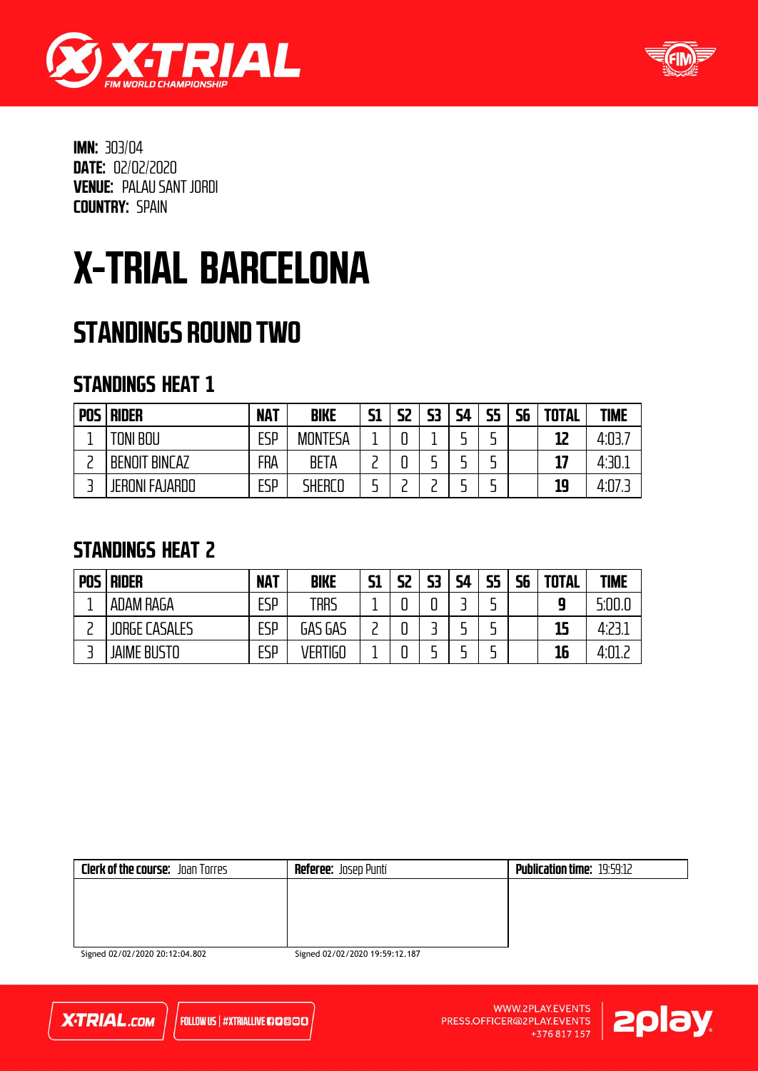



# X-TRIAL BARCELONA

### STANDINGS ROUND TWO

#### STANDINGS HEAT 1

| <b>POS</b> | <b>RIDER</b>              | <b>NAT</b> | <b>BIKE</b>    | <b>S1</b> | 52 | 53 | <b>S4</b> | <b>S5</b> | <b>S6</b> | <b>TOTAL</b> | <b>TIME</b> |
|------------|---------------------------|------------|----------------|-----------|----|----|-----------|-----------|-----------|--------------|-------------|
|            | BOU<br><b>TONI</b>        | ESP        | <b>MONTESA</b> |           |    |    |           | -         |           | 12           | 4:03.       |
|            | ' BINCAZ<br><b>BENOIT</b> | FRA        | <b>BETA</b>    |           |    |    |           |           |           | 17           | 4:30.1      |
|            | <b>JERONI FAJARDO</b>     | ESP        | <b>SHERCO</b>  |           |    |    |           |           |           | 19           | 4.07.1      |

### STANDINGS HEAT 2

| <b>POS</b> | <b>RIDER</b>         | <b>NAT</b> | <b>BIKE</b> | <b>S1</b> | 52 | 53 | <b>S4</b> | <b>S5</b> | 56 | <b>TOTAL</b> | <b>TIME</b>      |
|------------|----------------------|------------|-------------|-----------|----|----|-----------|-----------|----|--------------|------------------|
|            | ADAM RAGA            | ESP        | TRRS        |           |    |    |           |           |    | 0            | 5:00.0           |
|            | <b>JORGE CASALES</b> | ESP        | GAS GAS     |           |    |    |           |           |    | 15           | 4:23.            |
|            | <b>JAIME BUSTO</b>   | ESP        | VERTIGO     |           |    |    |           |           |    | 16           | 4 <sup>.</sup> M |

| <b>Clerk of the course:</b> Joan Torres | <b>Referee:</b> Josep Puntí | <b>Publication time: 19:59:12</b> |
|-----------------------------------------|-----------------------------|-----------------------------------|
|                                         |                             |                                   |
|                                         |                             |                                   |
|                                         |                             |                                   |
| $C_{i}$                                 | 0.4224021021202030303037    |                                   |

Signed 02/02/2020 20:12:04.802



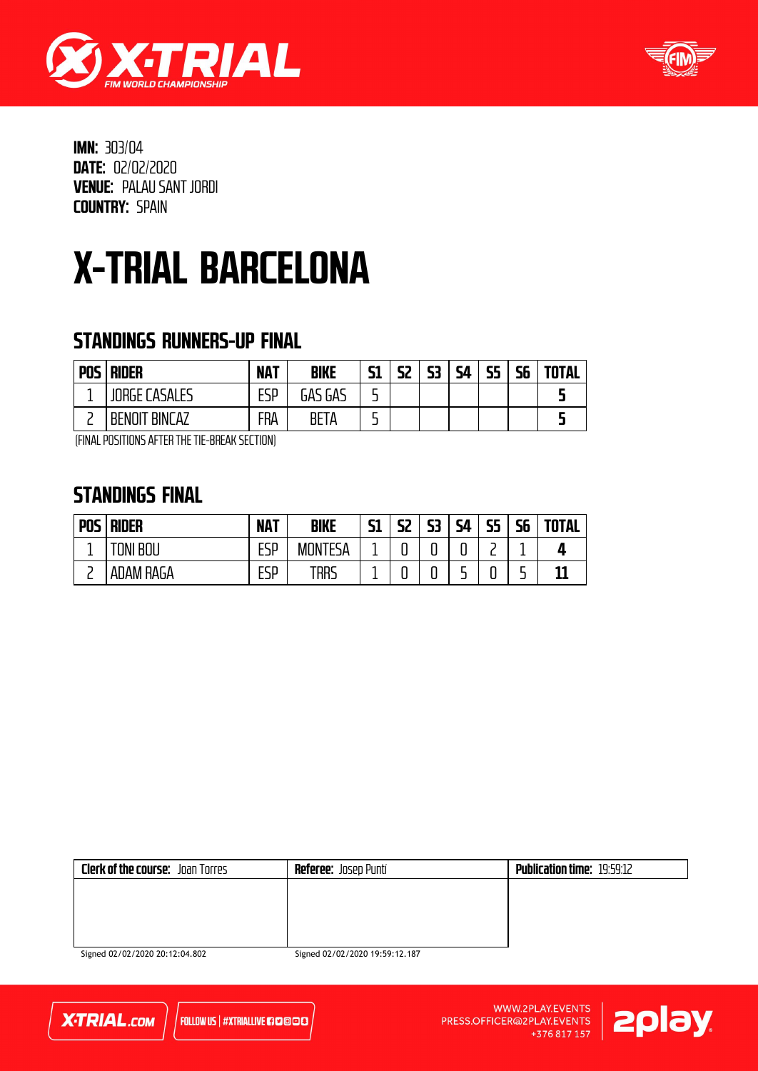



# X-TRIAL BARCELONA

#### STANDINGS RUNNERS-UP FINAL

| <b>POS</b> | <b>RIDER</b>              | <b>NAT</b> | <b>BIKE</b>            | 61<br>נכ | 52 | 53 | ς4<br>JT | CE<br>-- | 56 | <b>TOTAL</b> |
|------------|---------------------------|------------|------------------------|----------|----|----|----------|----------|----|--------------|
|            | JRGE 1<br>LASAI FS        | ESP        | GAS<br>GA <sup>c</sup> | -        |    |    |          |          |    |              |
| −          | ' BINCAZ<br><b>BENOIT</b> | FRA        | BE.<br>ĪА              | -        |    |    |          |          |    |              |

(FINAL POSITIONS AFTER THE TIE-BREAK SECTION)

### STANDINGS FINAL

| <b>POS</b> | <b>RIDER</b>      | <b>NAT</b> | <b>BIKE</b>    | 51 | 52     | 53<br>-- | 5Δ | CE. | 56 | <b>TOTAL</b> |
|------------|-------------------|------------|----------------|----|--------|----------|----|-----|----|--------------|
|            | <b>BOU</b><br>ONI | 뇌          | ∩N<br>M<br>・トレ | -- | ◠<br>ບ | c<br>u   | u  | -   | -  | Ш            |
|            | ADAM RAGA         | FCD<br>ᄂ┘╹ | trrs           | -  | ◠<br>ບ | u        | -  | ч   | -  |              |

| <b>Clerk of the course:</b> Joan Torres | <b>Referee:</b> Josep Puntí | <b>Publication time: 19:59:12</b> |
|-----------------------------------------|-----------------------------|-----------------------------------|
|                                         |                             |                                   |
|                                         |                             |                                   |
|                                         |                             |                                   |
|                                         |                             |                                   |
|                                         |                             |                                   |

Signed 02/02/2020 20:12:04.802



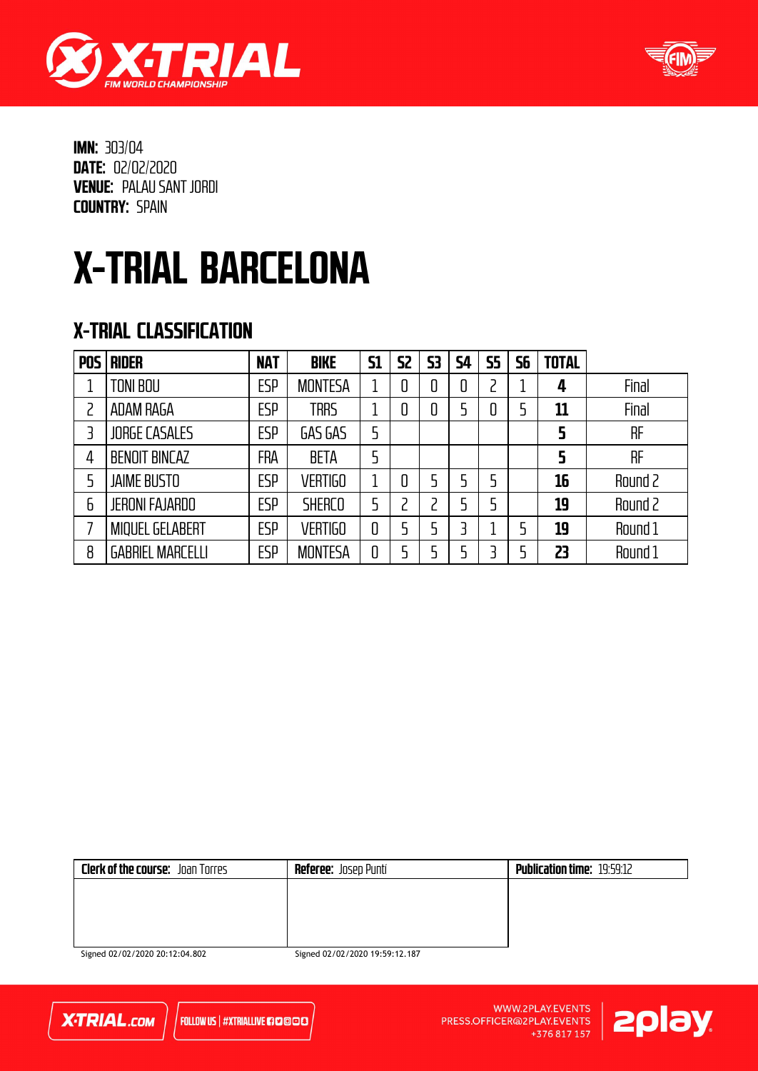



# X-TRIAL BARCELONA

#### X-TRIAL CLASSIFICATION

| <b>POS</b> | <b>RIDER</b>            | <b>NAT</b> | <b>BIKE</b>    | <b>S1</b> | <b>S2</b> | <b>S3</b> | 54 | <b>S5</b> | 56 | <b>TOTAL</b> |           |
|------------|-------------------------|------------|----------------|-----------|-----------|-----------|----|-----------|----|--------------|-----------|
|            | TONI BOU                | <b>ESP</b> | <b>MONTESA</b> | T         | 0         | 0         | 0  |           |    | 4            | Final     |
| 2          | ADAM RAGA               | <b>ESP</b> | <b>TRRS</b>    | 1         | 0         | 0         | 5  |           | 5  | 11           | Final     |
| 3          | <b>JORGE CASALES</b>    | ESP        | GAS GAS        | 5         |           |           |    |           |    | 5            | <b>RF</b> |
| 4          | <b>BENOIT BINCAZ</b>    | FRA        | <b>BETA</b>    | 5         |           |           |    |           |    | 5            | RF        |
| 5          | <b>JAIME BUSTO</b>      | <b>ESP</b> | <b>VERTIGO</b> | 1         | 0         |           | 5  |           |    | 16           | Round 2   |
| 6          | <b>JERONI FAJARDO</b>   | ESP        | <b>SHERCO</b>  | 5         | ר         |           |    |           |    | 19           | Round 2   |
|            | <b>MIQUEL GELABERT</b>  | <b>ESP</b> | <b>VERTIGO</b> | 0         | 5         |           |    |           |    | 19           | Round 1   |
| 8          | <b>GABRIEL MARCELLI</b> | <b>ESP</b> | <b>MONTESA</b> | 0         | 5         |           |    |           | 5  | 23           | Round 1   |

| <b>Clerk of the course:</b> Joan Torres | <b>Referee: Josep Punti</b> | <b>Publication time: 19:59:12</b> |
|-----------------------------------------|-----------------------------|-----------------------------------|
|                                         |                             |                                   |
|                                         |                             |                                   |
|                                         |                             |                                   |
|                                         |                             |                                   |

Signed 02/02/2020 20:12:04.802